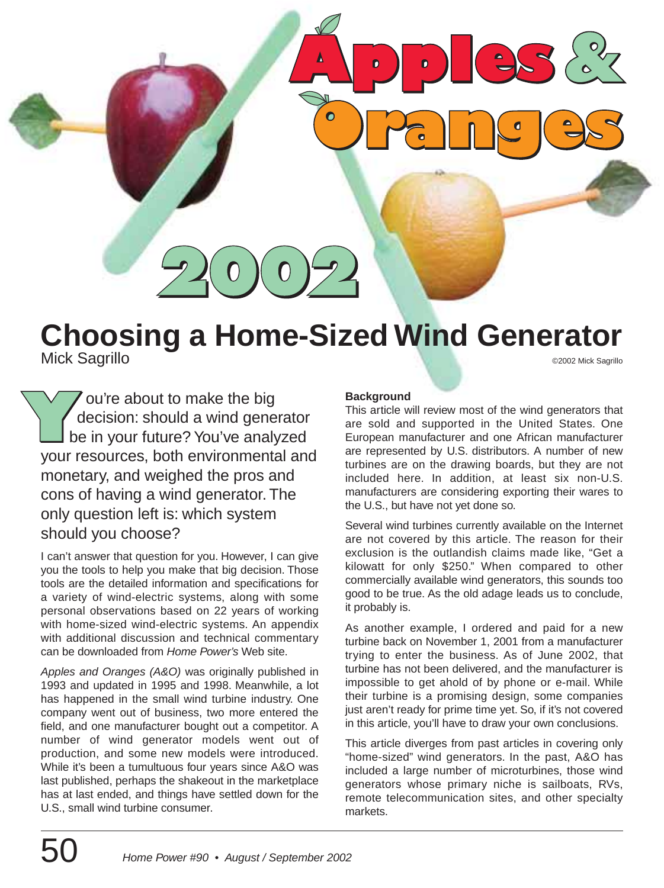**Choosing a Home-Sized Wind Generator** Mick Sagrillo ©2002 Mick Sagrillo

ou're about to make the big decision: should a wind generator be in your future? You've analyzed your resources, both environmental and monetary, and weighed the pros and cons of having a wind generator. The only question left is: which system should you choose?

I can't answer that question for you. However, I can give you the tools to help you make that big decision. Those tools are the detailed information and specifications for a variety of wind-electric systems, along with some personal observations based on 22 years of working with home-sized wind-electric systems. An appendix with additional discussion and technical commentary can be downloaded from Home Power's Web site.

Apples and Oranges (A&O) was originally published in 1993 and updated in 1995 and 1998. Meanwhile, a lot has happened in the small wind turbine industry. One company went out of business, two more entered the field, and one manufacturer bought out a competitor. A number of wind generator models went out of production, and some new models were introduced. While it's been a tumultuous four years since A&O was last published, perhaps the shakeout in the marketplace has at last ended, and things have settled down for the U.S., small wind turbine consumer.

### **Background**

This article will review most of the wind generators that are sold and supported in the United States. One European manufacturer and one African manufacturer are represented by U.S. distributors. A number of new turbines are on the drawing boards, but they are not included here. In addition, at least six non-U.S. manufacturers are considering exporting their wares to the U.S., but have not yet done so.

Several wind turbines currently available on the Internet are not covered by this article. The reason for their exclusion is the outlandish claims made like, "Get a kilowatt for only \$250." When compared to other commercially available wind generators, this sounds too good to be true. As the old adage leads us to conclude, it probably is.

As another example, I ordered and paid for a new turbine back on November 1, 2001 from a manufacturer trying to enter the business. As of June 2002, that turbine has not been delivered, and the manufacturer is impossible to get ahold of by phone or e-mail. While their turbine is a promising design, some companies just aren't ready for prime time yet. So, if it's not covered in this article, you'll have to draw your own conclusions.

This article diverges from past articles in covering only "home-sized" wind generators. In the past, A&O has included a large number of microturbines, those wind generators whose primary niche is sailboats, RVs, remote telecommunication sites, and other specialty markets.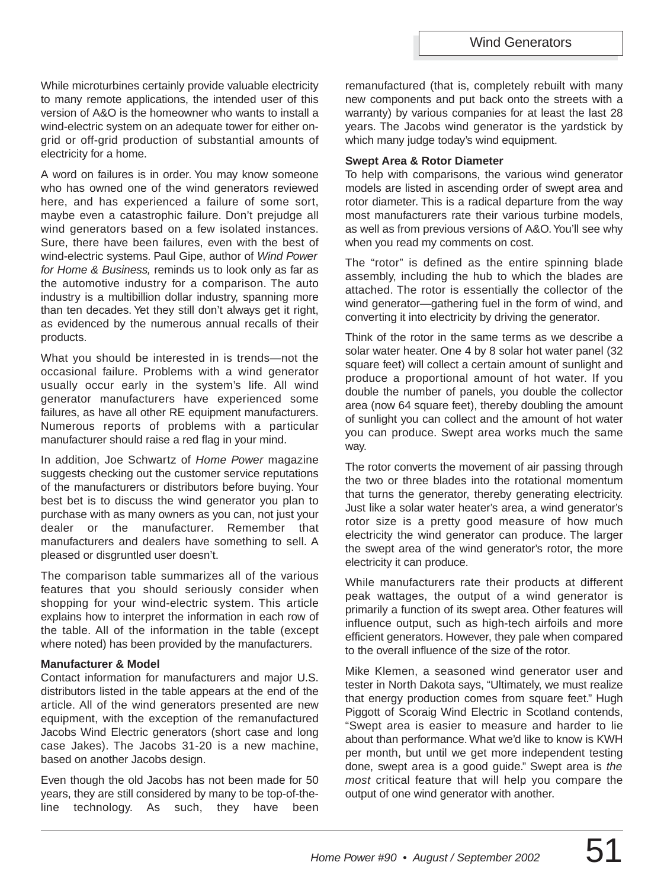While microturbines certainly provide valuable electricity to many remote applications, the intended user of this version of A&O is the homeowner who wants to install a wind-electric system on an adequate tower for either ongrid or off-grid production of substantial amounts of electricity for a home.

A word on failures is in order. You may know someone who has owned one of the wind generators reviewed here, and has experienced a failure of some sort, maybe even a catastrophic failure. Don't prejudge all wind generators based on a few isolated instances. Sure, there have been failures, even with the best of wind-electric systems. Paul Gipe, author of Wind Power for Home & Business, reminds us to look only as far as the automotive industry for a comparison. The auto industry is a multibillion dollar industry, spanning more than ten decades. Yet they still don't always get it right, as evidenced by the numerous annual recalls of their products.

What you should be interested in is trends—not the occasional failure. Problems with a wind generator usually occur early in the system's life. All wind generator manufacturers have experienced some failures, as have all other RE equipment manufacturers. Numerous reports of problems with a particular manufacturer should raise a red flag in your mind.

In addition, Joe Schwartz of Home Power magazine suggests checking out the customer service reputations of the manufacturers or distributors before buying. Your best bet is to discuss the wind generator you plan to purchase with as many owners as you can, not just your dealer or the manufacturer. Remember that manufacturers and dealers have something to sell. A pleased or disgruntled user doesn't.

The comparison table summarizes all of the various features that you should seriously consider when shopping for your wind-electric system. This article explains how to interpret the information in each row of the table. All of the information in the table (except where noted) has been provided by the manufacturers.

#### **Manufacturer & Model**

Contact information for manufacturers and major U.S. distributors listed in the table appears at the end of the article. All of the wind generators presented are new equipment, with the exception of the remanufactured Jacobs Wind Electric generators (short case and long case Jakes). The Jacobs 31-20 is a new machine, based on another Jacobs design.

Even though the old Jacobs has not been made for 50 years, they are still considered by many to be top-of-theline technology. As such, they have been remanufactured (that is, completely rebuilt with many new components and put back onto the streets with a warranty) by various companies for at least the last 28 years. The Jacobs wind generator is the yardstick by which many judge today's wind equipment.

#### **Swept Area & Rotor Diameter**

To help with comparisons, the various wind generator models are listed in ascending order of swept area and rotor diameter. This is a radical departure from the way most manufacturers rate their various turbine models, as well as from previous versions of A&O.You'll see why when you read my comments on cost.

The "rotor" is defined as the entire spinning blade assembly, including the hub to which the blades are attached. The rotor is essentially the collector of the wind generator—gathering fuel in the form of wind, and converting it into electricity by driving the generator.

Think of the rotor in the same terms as we describe a solar water heater. One 4 by 8 solar hot water panel (32 square feet) will collect a certain amount of sunlight and produce a proportional amount of hot water. If you double the number of panels, you double the collector area (now 64 square feet), thereby doubling the amount of sunlight you can collect and the amount of hot water you can produce. Swept area works much the same way.

The rotor converts the movement of air passing through the two or three blades into the rotational momentum that turns the generator, thereby generating electricity. Just like a solar water heater's area, a wind generator's rotor size is a pretty good measure of how much electricity the wind generator can produce. The larger the swept area of the wind generator's rotor, the more electricity it can produce.

While manufacturers rate their products at different peak wattages, the output of a wind generator is primarily a function of its swept area. Other features will influence output, such as high-tech airfoils and more efficient generators. However, they pale when compared to the overall influence of the size of the rotor.

Mike Klemen, a seasoned wind generator user and tester in North Dakota says, "Ultimately, we must realize that energy production comes from square feet." Hugh Piggott of Scoraig Wind Electric in Scotland contends, "Swept area is easier to measure and harder to lie about than performance. What we'd like to know is KWH per month, but until we get more independent testing done, swept area is a good guide." Swept area is the most critical feature that will help you compare the output of one wind generator with another.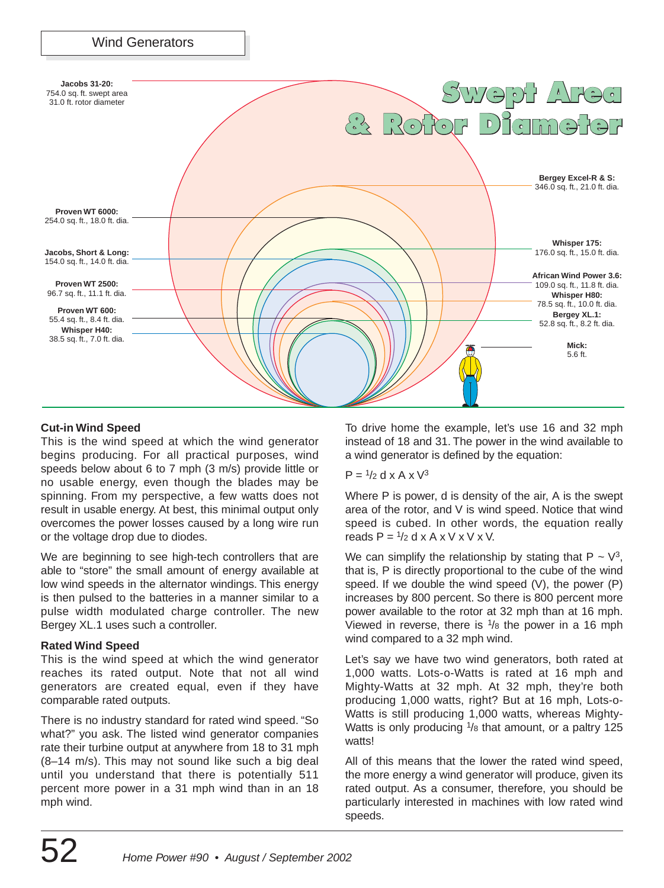

#### **Cut-in Wind Speed**

This is the wind speed at which the wind generator begins producing. For all practical purposes, wind speeds below about 6 to 7 mph (3 m/s) provide little or no usable energy, even though the blades may be spinning. From my perspective, a few watts does not result in usable energy. At best, this minimal output only overcomes the power losses caused by a long wire run or the voltage drop due to diodes.

We are beginning to see high-tech controllers that are able to "store" the small amount of energy available at low wind speeds in the alternator windings. This energy is then pulsed to the batteries in a manner similar to a pulse width modulated charge controller. The new Bergey XL.1 uses such a controller.

#### **Rated Wind Speed**

This is the wind speed at which the wind generator reaches its rated output. Note that not all wind generators are created equal, even if they have comparable rated outputs.

There is no industry standard for rated wind speed. "So what?" you ask. The listed wind generator companies rate their turbine output at anywhere from 18 to 31 mph (8–14 m/s). This may not sound like such a big deal until you understand that there is potentially 511 percent more power in a 31 mph wind than in an 18 mph wind.

To drive home the example, let's use 16 and 32 mph instead of 18 and 31. The power in the wind available to a wind generator is defined by the equation:

#### $P = \frac{1}{2}$  d x A x  $\sqrt{3}$

Where P is power, d is density of the air, A is the swept area of the rotor, and V is wind speed. Notice that wind speed is cubed. In other words, the equation really reads  $P = \frac{1}{2}$  d x A x V x V x V.

We can simplify the relationship by stating that  $P \sim V^3$ , that is, P is directly proportional to the cube of the wind speed. If we double the wind speed (V), the power (P) increases by 800 percent. So there is 800 percent more power available to the rotor at 32 mph than at 16 mph. Viewed in reverse, there is  $\frac{1}{8}$  the power in a 16 mph wind compared to a 32 mph wind.

Let's say we have two wind generators, both rated at 1,000 watts. Lots-o-Watts is rated at 16 mph and Mighty-Watts at 32 mph. At 32 mph, they're both producing 1,000 watts, right? But at 16 mph, Lots-o-Watts is still producing 1,000 watts, whereas Mighty-Watts is only producing <sup>1</sup>/8 that amount, or a paltry 125 watts!

All of this means that the lower the rated wind speed, the more energy a wind generator will produce, given its rated output. As a consumer, therefore, you should be particularly interested in machines with low rated wind speeds.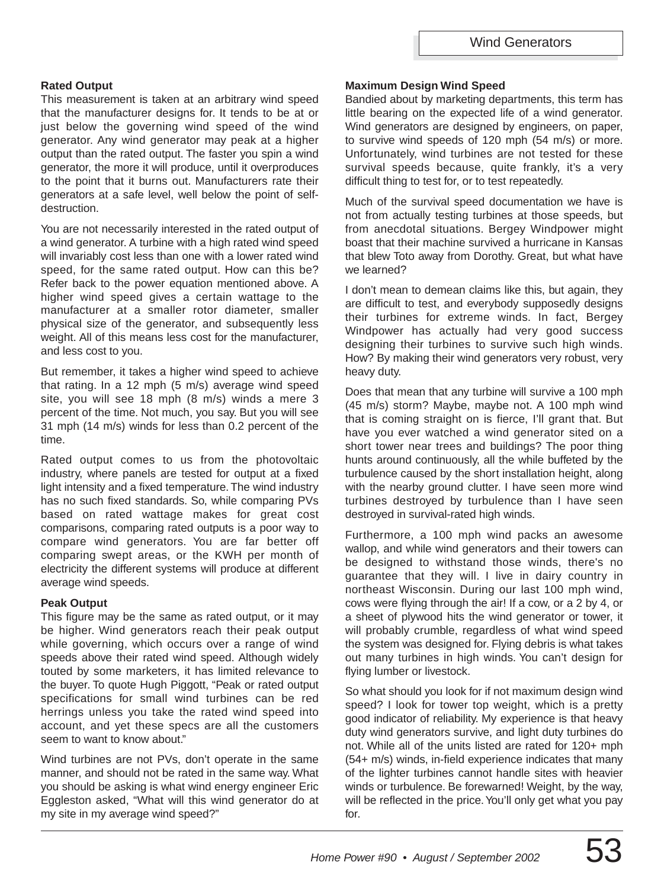#### **Rated Output**

This measurement is taken at an arbitrary wind speed that the manufacturer designs for. It tends to be at or just below the governing wind speed of the wind generator. Any wind generator may peak at a higher output than the rated output. The faster you spin a wind generator, the more it will produce, until it overproduces to the point that it burns out. Manufacturers rate their generators at a safe level, well below the point of selfdestruction.

You are not necessarily interested in the rated output of a wind generator. A turbine with a high rated wind speed will invariably cost less than one with a lower rated wind speed, for the same rated output. How can this be? Refer back to the power equation mentioned above. A higher wind speed gives a certain wattage to the manufacturer at a smaller rotor diameter, smaller physical size of the generator, and subsequently less weight. All of this means less cost for the manufacturer, and less cost to you.

But remember, it takes a higher wind speed to achieve that rating. In a 12 mph (5 m/s) average wind speed site, you will see 18 mph (8 m/s) winds a mere 3 percent of the time. Not much, you say. But you will see 31 mph (14 m/s) winds for less than 0.2 percent of the time.

Rated output comes to us from the photovoltaic industry, where panels are tested for output at a fixed light intensity and a fixed temperature. The wind industry has no such fixed standards. So, while comparing PVs based on rated wattage makes for great cost comparisons, comparing rated outputs is a poor way to compare wind generators. You are far better off comparing swept areas, or the KWH per month of electricity the different systems will produce at different average wind speeds.

#### **Peak Output**

This figure may be the same as rated output, or it may be higher. Wind generators reach their peak output while governing, which occurs over a range of wind speeds above their rated wind speed. Although widely touted by some marketers, it has limited relevance to the buyer. To quote Hugh Piggott, "Peak or rated output specifications for small wind turbines can be red herrings unless you take the rated wind speed into account, and yet these specs are all the customers seem to want to know about."

Wind turbines are not PVs, don't operate in the same manner, and should not be rated in the same way. What you should be asking is what wind energy engineer Eric Eggleston asked, "What will this wind generator do at my site in my average wind speed?"

#### **Maximum Design Wind Speed**

Bandied about by marketing departments, this term has little bearing on the expected life of a wind generator. Wind generators are designed by engineers, on paper, to survive wind speeds of 120 mph (54 m/s) or more. Unfortunately, wind turbines are not tested for these survival speeds because, quite frankly, it's a very difficult thing to test for, or to test repeatedly.

Much of the survival speed documentation we have is not from actually testing turbines at those speeds, but from anecdotal situations. Bergey Windpower might boast that their machine survived a hurricane in Kansas that blew Toto away from Dorothy. Great, but what have we learned?

I don't mean to demean claims like this, but again, they are difficult to test, and everybody supposedly designs their turbines for extreme winds. In fact, Bergey Windpower has actually had very good success designing their turbines to survive such high winds. How? By making their wind generators very robust, very heavy duty.

Does that mean that any turbine will survive a 100 mph (45 m/s) storm? Maybe, maybe not. A 100 mph wind that is coming straight on is fierce, I'll grant that. But have you ever watched a wind generator sited on a short tower near trees and buildings? The poor thing hunts around continuously, all the while buffeted by the turbulence caused by the short installation height, along with the nearby ground clutter. I have seen more wind turbines destroyed by turbulence than I have seen destroyed in survival-rated high winds.

Furthermore, a 100 mph wind packs an awesome wallop, and while wind generators and their towers can be designed to withstand those winds, there's no guarantee that they will. I live in dairy country in northeast Wisconsin. During our last 100 mph wind, cows were flying through the air! If a cow, or a 2 by 4, or a sheet of plywood hits the wind generator or tower, it will probably crumble, regardless of what wind speed the system was designed for. Flying debris is what takes out many turbines in high winds. You can't design for flying lumber or livestock.

So what should you look for if not maximum design wind speed? I look for tower top weight, which is a pretty good indicator of reliability. My experience is that heavy duty wind generators survive, and light duty turbines do not. While all of the units listed are rated for 120+ mph (54+ m/s) winds, in-field experience indicates that many of the lighter turbines cannot handle sites with heavier winds or turbulence. Be forewarned! Weight, by the way, will be reflected in the price. You'll only get what you pay for.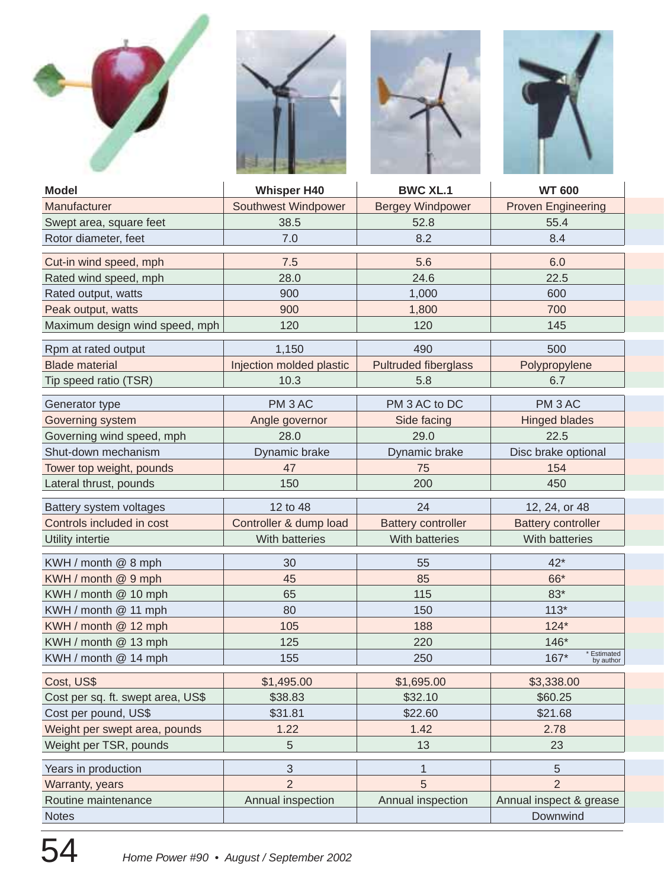







| <b>Model</b>                      | <b>Whisper H40</b>       | <b>BWC XL.1</b>             | <b>WT 600</b>                  |
|-----------------------------------|--------------------------|-----------------------------|--------------------------------|
| Manufacturer                      | Southwest Windpower      | <b>Bergey Windpower</b>     | <b>Proven Engineering</b>      |
| Swept area, square feet           | 38.5                     | 52.8                        | 55.4                           |
| Rotor diameter, feet              | 7.0                      | 8.2                         | 8.4                            |
| Cut-in wind speed, mph            | 7.5                      | 5.6                         | 6.0                            |
| Rated wind speed, mph             | 28.0                     | 24.6                        | 22.5                           |
| Rated output, watts               | 900                      | 1,000                       | 600                            |
| Peak output, watts                | 900                      | 1,800                       | 700                            |
| Maximum design wind speed, mph    | 120                      | 120                         | 145                            |
| Rpm at rated output               | 1,150                    | 490                         | 500                            |
| <b>Blade material</b>             | Injection molded plastic | <b>Pultruded fiberglass</b> | Polypropylene                  |
| Tip speed ratio (TSR)             | 10.3                     | 5.8                         | 6.7                            |
| Generator type                    | PM <sub>3</sub> AC       | PM 3 AC to DC               | PM <sub>3</sub> AC             |
| Governing system                  | Angle governor           | Side facing                 | <b>Hinged blades</b>           |
| Governing wind speed, mph         | 28.0                     | 29.0                        | 22.5                           |
| Shut-down mechanism               | Dynamic brake            | Dynamic brake               | Disc brake optional            |
| Tower top weight, pounds          | 47                       | 75                          | 154                            |
| Lateral thrust, pounds            | 150                      | 200                         | 450                            |
| Battery system voltages           | 12 to 48                 | 24                          | 12, 24, or 48                  |
| Controls included in cost         | Controller & dump load   | <b>Battery controller</b>   | <b>Battery controller</b>      |
| Utility intertie                  | With batteries           | With batteries              | With batteries                 |
| KWH / month @ 8 mph               | 30                       | 55                          | $42*$                          |
| KWH / month @ 9 mph               | 45                       | 85                          | 66*                            |
| KWH / month @ 10 mph              | 65                       | 115                         | 83*                            |
| KWH / month @ 11 mph              | 80                       | 150                         | $113*$                         |
| KWH / month @ 12 mph              | 105                      | 188                         | $124*$                         |
| KWH / month @ 13 mph              | 125                      | 220                         | 146*                           |
| KWH / month @ 14 mph              | 155                      | 250                         | Estimated<br>167*<br>by author |
| Cost, US\$                        | \$1,495.00               | \$1,695.00                  | \$3,338.00                     |
| Cost per sq. ft. swept area, US\$ | \$38.83                  | \$32.10                     | \$60.25                        |
| Cost per pound, US\$              | \$31.81                  | \$22.60                     | \$21.68                        |
| Weight per swept area, pounds     | 1.22                     | 1.42                        | 2.78                           |
| Weight per TSR, pounds            | 5                        | 13                          | 23                             |
| Years in production               | 3                        | 1                           | $\overline{5}$                 |
| Warranty, years                   | $\overline{2}$           | 5                           | $\overline{2}$                 |
| Routine maintenance               | Annual inspection        | Annual inspection           | Annual inspect & grease        |
| <b>Notes</b>                      | Downwind                 |                             |                                |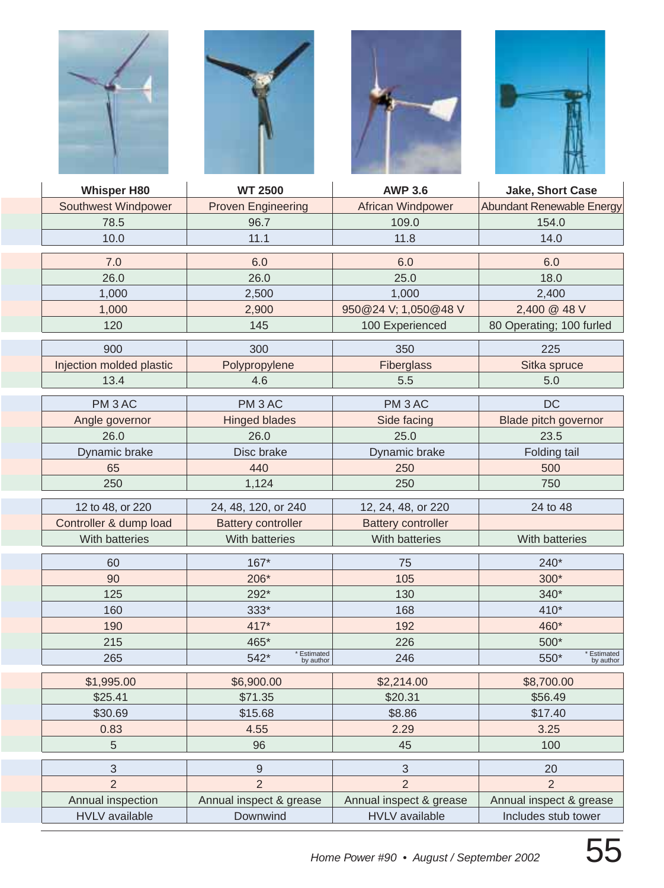







| <b>Whisper H80</b>       | <b>WT 2500</b>                   | <b>AWP 3.6</b>            | Jake, Short Case                 |
|--------------------------|----------------------------------|---------------------------|----------------------------------|
| Southwest Windpower      | <b>Proven Engineering</b>        | <b>African Windpower</b>  | <b>Abundant Renewable Energy</b> |
| 78.5                     | 96.7                             | 109.0                     | 154.0                            |
| 10.0                     | 11.1                             | 11.8                      | 14.0                             |
| 7.0                      | 6.0                              | 6.0                       | 6.0                              |
| 26.0                     | 26.0                             | 25.0                      | 18.0                             |
| 1,000                    | 2,500                            | 1,000                     | 2,400                            |
| 1,000                    | 2,900                            | 950@24 V; 1,050@48 V      | 2,400 @ 48 V                     |
| 120                      | 145                              | 100 Experienced           | 80 Operating; 100 furled         |
| 900                      | 300                              | 350                       | 225                              |
| Injection molded plastic | Polypropylene                    | Fiberglass                | Sitka spruce                     |
| 13.4                     | 4.6                              | 5.5                       | 5.0                              |
|                          |                                  |                           |                                  |
| PM <sub>3</sub> AC       | PM <sub>3</sub> AC               | PM <sub>3</sub> AC        | <b>DC</b>                        |
| Angle governor           | <b>Hinged blades</b>             | Side facing               | Blade pitch governor             |
| 26.0                     | 26.0                             | 25.0                      | 23.5                             |
| Dynamic brake            | Disc brake                       | Dynamic brake             | Folding tail                     |
| 65                       | 440                              | 250                       | 500                              |
| 250                      | 1,124                            | 250                       | 750                              |
| 12 to 48, or 220         | 24, 48, 120, or 240              | 12, 24, 48, or 220        | 24 to 48                         |
| Controller & dump load   | <b>Battery controller</b>        | <b>Battery controller</b> |                                  |
| With batteries           | With batteries                   | With batteries            | With batteries                   |
| 60                       | $167*$                           | 75                        | 240*                             |
| 90                       | 206*                             | 105                       | $300*$                           |
| 125                      | 292*                             | 130                       | 340*                             |
| 160                      | 333*                             | 168                       | 410*                             |
| 190                      | 417*                             | 192                       | 460*                             |
| 215                      | 465*                             | 226                       | 500*                             |
| 265                      | * Estimated<br>542*<br>by author | 246                       | * Estimated<br>550*<br>by author |
| \$1,995.00               | \$6,900.00                       | \$2,214.00                | \$8,700.00                       |
| \$25.41                  | \$71.35                          | \$20.31                   | \$56.49                          |
| \$30.69                  | \$15.68                          | \$8.86                    | \$17.40                          |
| 0.83                     | 4.55                             | 2.29                      | 3.25                             |
| $\mathbf 5$              | 96                               | 45                        | 100                              |
| 3                        | $\boldsymbol{9}$                 | $\mathfrak{S}$            | 20                               |
| $\overline{2}$           | $\overline{2}$                   | $\overline{2}$            | $\overline{2}$                   |
| Annual inspection        | Annual inspect & grease          | Annual inspect & grease   | Annual inspect & grease          |
| <b>HVLV</b> available    | Downwind                         | <b>HVLV</b> available     | Includes stub tower              |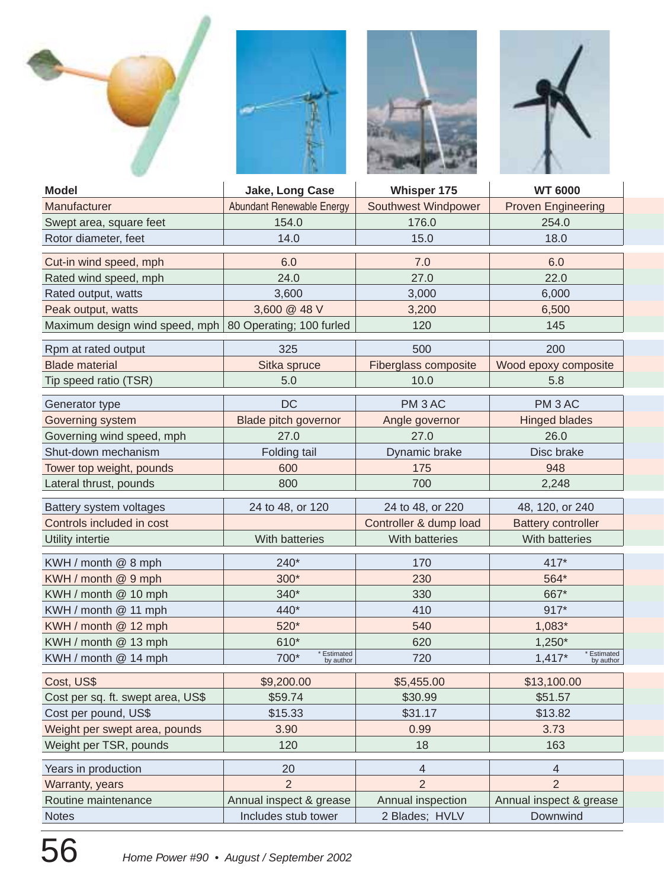







| <b>Model</b>                      | Jake, Long Case                                                  | Whisper 175            | <b>WT 6000</b>                       |
|-----------------------------------|------------------------------------------------------------------|------------------------|--------------------------------------|
| Manufacturer                      | Abundant Renewable Energy                                        | Southwest Windpower    | <b>Proven Engineering</b>            |
| Swept area, square feet           | 154.0                                                            | 176.0                  | 254.0                                |
| Rotor diameter, feet              | 14.0                                                             | 15.0                   | 18.0                                 |
| Cut-in wind speed, mph            | 6.0                                                              | 7.0                    | 6.0                                  |
| Rated wind speed, mph             | 24.0                                                             | 27.0                   | 22.0                                 |
| Rated output, watts               | 3,600                                                            | 3,000                  | 6,000                                |
| Peak output, watts                | 3,600 @ 48 V                                                     | 3,200                  | 6,500                                |
|                                   | Maximum design wind speed, mph   80 Operating; 100 furled<br>120 |                        | 145                                  |
| Rpm at rated output               | 325                                                              | 500                    | 200                                  |
| <b>Blade material</b>             | Sitka spruce                                                     | Fiberglass composite   | Wood epoxy composite                 |
| Tip speed ratio (TSR)             | 5.0                                                              | 10.0                   | 5.8                                  |
| Generator type                    | <b>DC</b>                                                        | PM <sub>3</sub> AC     | PM <sub>3</sub> AC                   |
| Governing system                  | Blade pitch governor                                             | Angle governor         | <b>Hinged blades</b>                 |
| Governing wind speed, mph         | 27.0                                                             | 27.0                   | 26.0                                 |
| Shut-down mechanism               | Folding tail                                                     | Dynamic brake          | Disc brake                           |
| Tower top weight, pounds          | 600                                                              | 175                    | 948                                  |
| Lateral thrust, pounds            | 800                                                              | 700                    | 2,248                                |
| Battery system voltages           | 24 to 48, or 120<br>24 to 48, or 220                             |                        | 48, 120, or 240                      |
| Controls included in cost         |                                                                  | Controller & dump load | <b>Battery controller</b>            |
| Utility intertie                  | With batteries                                                   | With batteries         | With batteries                       |
| KWH / month @ 8 mph               | 240*<br>170                                                      |                        | $417*$                               |
| KWH / month @ 9 mph               | 300*                                                             | 230                    | 564*                                 |
| KWH / month @ 10 mph              | 340*                                                             | 330                    | 667*                                 |
| KWH / month @ 11 mph              | 440*                                                             | 410                    | $917*$                               |
| KWH / month @ 12 mph              | 520*                                                             | 540                    | 1,083*                               |
| KWH / month @ 13 mph              | 610*                                                             | 620                    | $1,250*$                             |
| KWH / month @ 14 mph              | Estimated<br>700*<br>by author                                   | 720                    | * Estimated<br>$1,417*$<br>by author |
| Cost, US\$                        | \$9,200.00                                                       | \$5,455.00             | \$13,100.00                          |
| Cost per sq. ft. swept area, US\$ | \$59.74                                                          | \$30.99                | \$51.57                              |
| Cost per pound, US\$              | \$15.33                                                          | \$31.17                | \$13.82                              |
| Weight per swept area, pounds     | 3.90                                                             | 0.99                   | 3.73                                 |
| Weight per TSR, pounds            | 120                                                              | 18                     | 163                                  |
| Years in production               | 20                                                               | 4                      | $\overline{4}$                       |
| Warranty, years                   | $\overline{2}$                                                   | $\overline{2}$         | $\overline{2}$                       |
| Routine maintenance               | Annual inspect & grease                                          | Annual inspection      | Annual inspect & grease              |
| <b>Notes</b>                      | Includes stub tower                                              | 2 Blades; HVLV         | Downwind                             |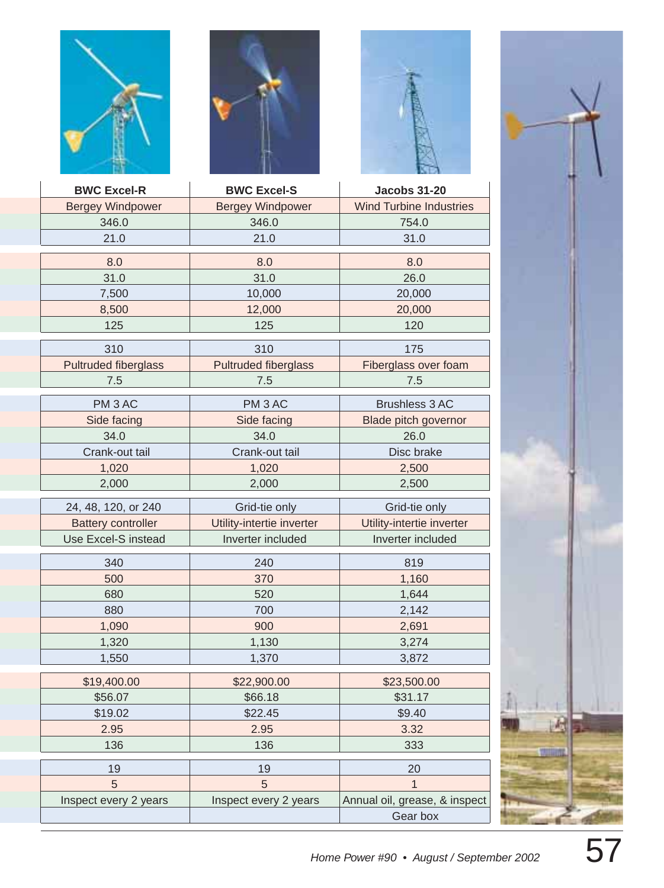





| <b>BWC Excel-R</b>          | <b>BWC Excel-S</b>          | <b>Jacobs 31-20</b>            |
|-----------------------------|-----------------------------|--------------------------------|
| <b>Bergey Windpower</b>     | <b>Bergey Windpower</b>     | <b>Wind Turbine Industries</b> |
| 346.0                       | 346.0                       | 754.0                          |
| 21.0                        | 21.0                        | 31.0                           |
| 8.0                         | 8.0                         | 8.0                            |
| 31.0                        | 31.0                        | 26.0                           |
| 7,500                       | 10,000                      | 20,000                         |
| 8,500                       | 12,000                      | 20,000                         |
| 125                         | 125                         | 120                            |
| 310                         | 310                         | 175                            |
| <b>Pultruded fiberglass</b> | <b>Pultruded fiberglass</b> | Fiberglass over foam           |
| 7.5                         | 7.5                         | 7.5                            |
| PM <sub>3</sub> AC          | PM <sub>3</sub> AC          | <b>Brushless 3 AC</b>          |
| Side facing                 | Side facing                 | <b>Blade pitch governor</b>    |
| 34.0                        | 34.0                        | 26.0                           |
| Crank-out tail              | Crank-out tail              | Disc brake                     |
| 1,020                       | 1,020                       | 2,500                          |
| 2,000                       | 2,000                       | 2,500                          |
| 24, 48, 120, or 240         | Grid-tie only               | Grid-tie only                  |
| <b>Battery controller</b>   | Utility-intertie inverter   | Utility-intertie inverter      |
| Use Excel-S instead         | Inverter included           | Inverter included              |
| 340                         | 240                         | 819                            |
| 500                         | 370                         | 1,160                          |
| 680                         | 520                         | 1,644                          |
| 880                         | 700                         | 2,142                          |
| 1,090                       | 900                         | 2,691                          |
| 1,320                       | 1,130                       | 3,274                          |
| 1,550                       | 1,370                       | 3,872                          |
| \$19,400.00                 | \$22,900.00                 | \$23,500.00                    |
| \$56.07                     | \$66.18                     | \$31.17                        |
| \$19.02                     | \$22.45                     | \$9.40                         |
| 2.95                        | 2.95                        | 3.32                           |
| 136                         | 136                         | 333                            |
| 19                          | 19                          | 20                             |
| 5                           | 5                           | $\mathbf{1}$                   |
| Inspect every 2 years       | Inspect every 2 years       | Annual oil, grease, & inspect  |
|                             |                             | Gear box                       |

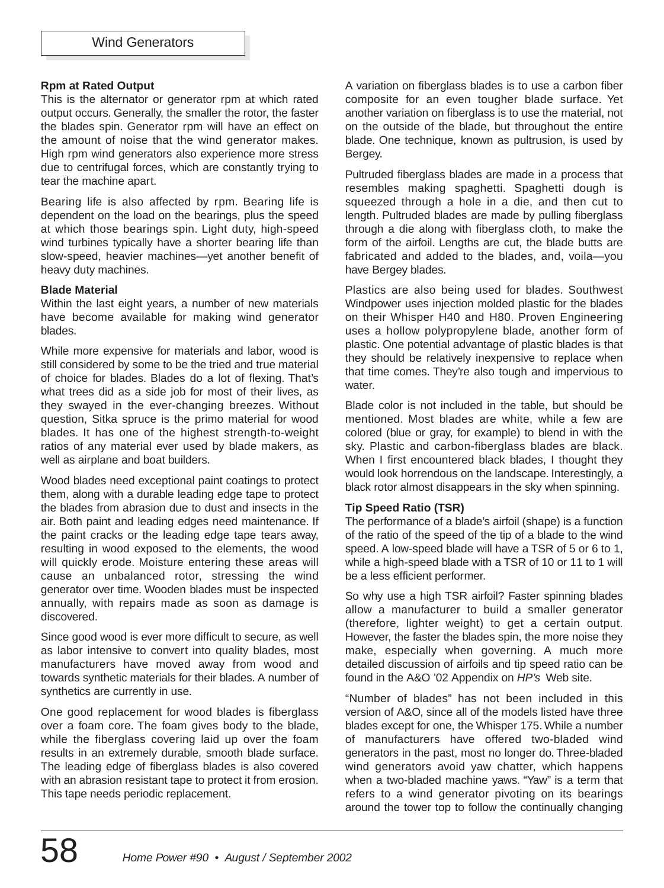#### **Rpm at Rated Output**

This is the alternator or generator rpm at which rated output occurs. Generally, the smaller the rotor, the faster the blades spin. Generator rpm will have an effect on the amount of noise that the wind generator makes. High rpm wind generators also experience more stress due to centrifugal forces, which are constantly trying to tear the machine apart.

Bearing life is also affected by rpm. Bearing life is dependent on the load on the bearings, plus the speed at which those bearings spin. Light duty, high-speed wind turbines typically have a shorter bearing life than slow-speed, heavier machines—yet another benefit of heavy duty machines.

#### **Blade Material**

Within the last eight years, a number of new materials have become available for making wind generator blades.

While more expensive for materials and labor, wood is still considered by some to be the tried and true material of choice for blades. Blades do a lot of flexing. That's what trees did as a side job for most of their lives, as they swayed in the ever-changing breezes. Without question, Sitka spruce is the primo material for wood blades. It has one of the highest strength-to-weight ratios of any material ever used by blade makers, as well as airplane and boat builders.

Wood blades need exceptional paint coatings to protect them, along with a durable leading edge tape to protect the blades from abrasion due to dust and insects in the air. Both paint and leading edges need maintenance. If the paint cracks or the leading edge tape tears away, resulting in wood exposed to the elements, the wood will quickly erode. Moisture entering these areas will cause an unbalanced rotor, stressing the wind generator over time. Wooden blades must be inspected annually, with repairs made as soon as damage is discovered.

Since good wood is ever more difficult to secure, as well as labor intensive to convert into quality blades, most manufacturers have moved away from wood and towards synthetic materials for their blades. A number of synthetics are currently in use.

One good replacement for wood blades is fiberglass over a foam core. The foam gives body to the blade, while the fiberglass covering laid up over the foam results in an extremely durable, smooth blade surface. The leading edge of fiberglass blades is also covered with an abrasion resistant tape to protect it from erosion. This tape needs periodic replacement.

A variation on fiberglass blades is to use a carbon fiber composite for an even tougher blade surface. Yet another variation on fiberglass is to use the material, not on the outside of the blade, but throughout the entire blade. One technique, known as pultrusion, is used by Bergey.

Pultruded fiberglass blades are made in a process that resembles making spaghetti. Spaghetti dough is squeezed through a hole in a die, and then cut to length. Pultruded blades are made by pulling fiberglass through a die along with fiberglass cloth, to make the form of the airfoil. Lengths are cut, the blade butts are fabricated and added to the blades, and, voila—you have Bergey blades.

Plastics are also being used for blades. Southwest Windpower uses injection molded plastic for the blades on their Whisper H40 and H80. Proven Engineering uses a hollow polypropylene blade, another form of plastic. One potential advantage of plastic blades is that they should be relatively inexpensive to replace when that time comes. They're also tough and impervious to water.

Blade color is not included in the table, but should be mentioned. Most blades are white, while a few are colored (blue or gray, for example) to blend in with the sky. Plastic and carbon-fiberglass blades are black. When I first encountered black blades, I thought they would look horrendous on the landscape. Interestingly, a black rotor almost disappears in the sky when spinning.

#### **Tip Speed Ratio (TSR)**

The performance of a blade's airfoil (shape) is a function of the ratio of the speed of the tip of a blade to the wind speed. A low-speed blade will have a TSR of 5 or 6 to 1, while a high-speed blade with a TSR of 10 or 11 to 1 will be a less efficient performer.

So why use a high TSR airfoil? Faster spinning blades allow a manufacturer to build a smaller generator (therefore, lighter weight) to get a certain output. However, the faster the blades spin, the more noise they make, especially when governing. A much more detailed discussion of airfoils and tip speed ratio can be found in the A&O '02 Appendix on HP's Web site.

"Number of blades" has not been included in this version of A&O, since all of the models listed have three blades except for one, the Whisper 175. While a number of manufacturers have offered two-bladed wind generators in the past, most no longer do. Three-bladed wind generators avoid yaw chatter, which happens when a two-bladed machine yaws. "Yaw" is a term that refers to a wind generator pivoting on its bearings around the tower top to follow the continually changing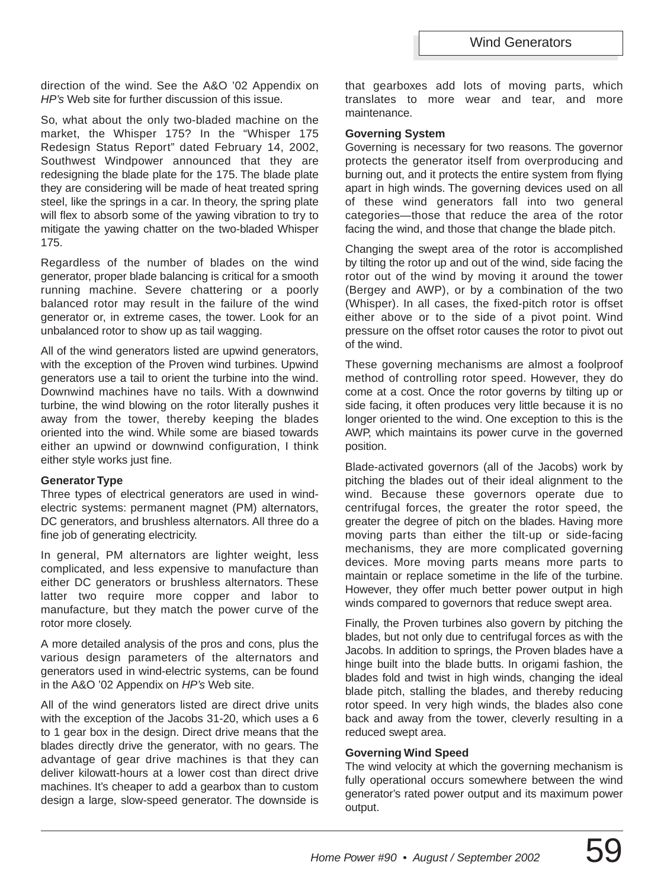direction of the wind. See the A&O '02 Appendix on HP's Web site for further discussion of this issue.

So, what about the only two-bladed machine on the market, the Whisper 175? In the "Whisper 175 Redesign Status Report" dated February 14, 2002, Southwest Windpower announced that they are redesigning the blade plate for the 175. The blade plate they are considering will be made of heat treated spring steel, like the springs in a car. In theory, the spring plate will flex to absorb some of the yawing vibration to try to mitigate the yawing chatter on the two-bladed Whisper 175.

Regardless of the number of blades on the wind generator, proper blade balancing is critical for a smooth running machine. Severe chattering or a poorly balanced rotor may result in the failure of the wind generator or, in extreme cases, the tower. Look for an unbalanced rotor to show up as tail wagging.

All of the wind generators listed are upwind generators, with the exception of the Proven wind turbines. Upwind generators use a tail to orient the turbine into the wind. Downwind machines have no tails. With a downwind turbine, the wind blowing on the rotor literally pushes it away from the tower, thereby keeping the blades oriented into the wind. While some are biased towards either an upwind or downwind configuration, I think either style works just fine.

#### **Generator Type**

Three types of electrical generators are used in windelectric systems: permanent magnet (PM) alternators, DC generators, and brushless alternators. All three do a fine job of generating electricity.

In general, PM alternators are lighter weight, less complicated, and less expensive to manufacture than either DC generators or brushless alternators. These latter two require more copper and labor to manufacture, but they match the power curve of the rotor more closely.

A more detailed analysis of the pros and cons, plus the various design parameters of the alternators and generators used in wind-electric systems, can be found in the A&O '02 Appendix on HP's Web site.

All of the wind generators listed are direct drive units with the exception of the Jacobs 31-20, which uses a 6 to 1 gear box in the design. Direct drive means that the blades directly drive the generator, with no gears. The advantage of gear drive machines is that they can deliver kilowatt-hours at a lower cost than direct drive machines. It's cheaper to add a gearbox than to custom design a large, slow-speed generator. The downside is that gearboxes add lots of moving parts, which translates to more wear and tear, and more maintenance.

#### **Governing System**

Governing is necessary for two reasons. The governor protects the generator itself from overproducing and burning out, and it protects the entire system from flying apart in high winds. The governing devices used on all of these wind generators fall into two general categories—those that reduce the area of the rotor facing the wind, and those that change the blade pitch.

Changing the swept area of the rotor is accomplished by tilting the rotor up and out of the wind, side facing the rotor out of the wind by moving it around the tower (Bergey and AWP), or by a combination of the two (Whisper). In all cases, the fixed-pitch rotor is offset either above or to the side of a pivot point. Wind pressure on the offset rotor causes the rotor to pivot out of the wind.

These governing mechanisms are almost a foolproof method of controlling rotor speed. However, they do come at a cost. Once the rotor governs by tilting up or side facing, it often produces very little because it is no longer oriented to the wind. One exception to this is the AWP, which maintains its power curve in the governed position.

Blade-activated governors (all of the Jacobs) work by pitching the blades out of their ideal alignment to the wind. Because these governors operate due to centrifugal forces, the greater the rotor speed, the greater the degree of pitch on the blades. Having more moving parts than either the tilt-up or side-facing mechanisms, they are more complicated governing devices. More moving parts means more parts to maintain or replace sometime in the life of the turbine. However, they offer much better power output in high winds compared to governors that reduce swept area.

Finally, the Proven turbines also govern by pitching the blades, but not only due to centrifugal forces as with the Jacobs. In addition to springs, the Proven blades have a hinge built into the blade butts. In origami fashion, the blades fold and twist in high winds, changing the ideal blade pitch, stalling the blades, and thereby reducing rotor speed. In very high winds, the blades also cone back and away from the tower, cleverly resulting in a reduced swept area.

#### **Governing Wind Speed**

The wind velocity at which the governing mechanism is fully operational occurs somewhere between the wind generator's rated power output and its maximum power output.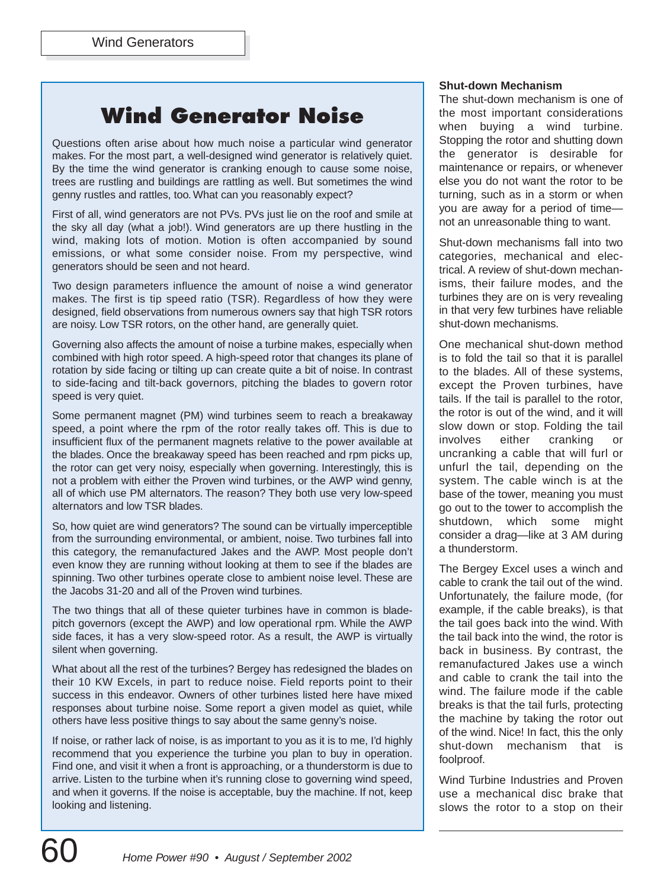# **Wind Generator Noise**

Questions often arise about how much noise a particular wind generator makes. For the most part, a well-designed wind generator is relatively quiet. By the time the wind generator is cranking enough to cause some noise, trees are rustling and buildings are rattling as well. But sometimes the wind genny rustles and rattles, too. What can you reasonably expect?

First of all, wind generators are not PVs. PVs just lie on the roof and smile at the sky all day (what a job!). Wind generators are up there hustling in the wind, making lots of motion. Motion is often accompanied by sound emissions, or what some consider noise. From my perspective, wind generators should be seen and not heard.

Two design parameters influence the amount of noise a wind generator makes. The first is tip speed ratio (TSR). Regardless of how they were designed, field observations from numerous owners say that high TSR rotors are noisy. Low TSR rotors, on the other hand, are generally quiet.

Governing also affects the amount of noise a turbine makes, especially when combined with high rotor speed. A high-speed rotor that changes its plane of rotation by side facing or tilting up can create quite a bit of noise. In contrast to side-facing and tilt-back governors, pitching the blades to govern rotor speed is very quiet.

Some permanent magnet (PM) wind turbines seem to reach a breakaway speed, a point where the rpm of the rotor really takes off. This is due to insufficient flux of the permanent magnets relative to the power available at the blades. Once the breakaway speed has been reached and rpm picks up, the rotor can get very noisy, especially when governing. Interestingly, this is not a problem with either the Proven wind turbines, or the AWP wind genny, all of which use PM alternators. The reason? They both use very low-speed alternators and low TSR blades.

So, how quiet are wind generators? The sound can be virtually imperceptible from the surrounding environmental, or ambient, noise. Two turbines fall into this category, the remanufactured Jakes and the AWP. Most people don't even know they are running without looking at them to see if the blades are spinning. Two other turbines operate close to ambient noise level. These are the Jacobs 31-20 and all of the Proven wind turbines.

The two things that all of these quieter turbines have in common is bladepitch governors (except the AWP) and low operational rpm. While the AWP side faces, it has a very slow-speed rotor. As a result, the AWP is virtually silent when governing.

What about all the rest of the turbines? Bergey has redesigned the blades on their 10 KW Excels, in part to reduce noise. Field reports point to their success in this endeavor. Owners of other turbines listed here have mixed responses about turbine noise. Some report a given model as quiet, while others have less positive things to say about the same genny's noise.

If noise, or rather lack of noise, is as important to you as it is to me, I'd highly recommend that you experience the turbine you plan to buy in operation. Find one, and visit it when a front is approaching, or a thunderstorm is due to arrive. Listen to the turbine when it's running close to governing wind speed, and when it governs. If the noise is acceptable, buy the machine. If not, keep looking and listening.

#### **Shut-down Mechanism**

The shut-down mechanism is one of the most important considerations when buying a wind turbine. Stopping the rotor and shutting down the generator is desirable for maintenance or repairs, or whenever else you do not want the rotor to be turning, such as in a storm or when you are away for a period of time not an unreasonable thing to want.

Shut-down mechanisms fall into two categories, mechanical and electrical. A review of shut-down mechanisms, their failure modes, and the turbines they are on is very revealing in that very few turbines have reliable shut-down mechanisms.

One mechanical shut-down method is to fold the tail so that it is parallel to the blades. All of these systems, except the Proven turbines, have tails. If the tail is parallel to the rotor, the rotor is out of the wind, and it will slow down or stop. Folding the tail involves either cranking or uncranking a cable that will furl or unfurl the tail, depending on the system. The cable winch is at the base of the tower, meaning you must go out to the tower to accomplish the shutdown, which some might consider a drag—like at 3 AM during a thunderstorm.

The Bergey Excel uses a winch and cable to crank the tail out of the wind. Unfortunately, the failure mode, (for example, if the cable breaks), is that the tail goes back into the wind. With the tail back into the wind, the rotor is back in business. By contrast, the remanufactured Jakes use a winch and cable to crank the tail into the wind. The failure mode if the cable breaks is that the tail furls, protecting the machine by taking the rotor out of the wind. Nice! In fact, this the only shut-down mechanism that is foolproof.

Wind Turbine Industries and Proven use a mechanical disc brake that slows the rotor to a stop on their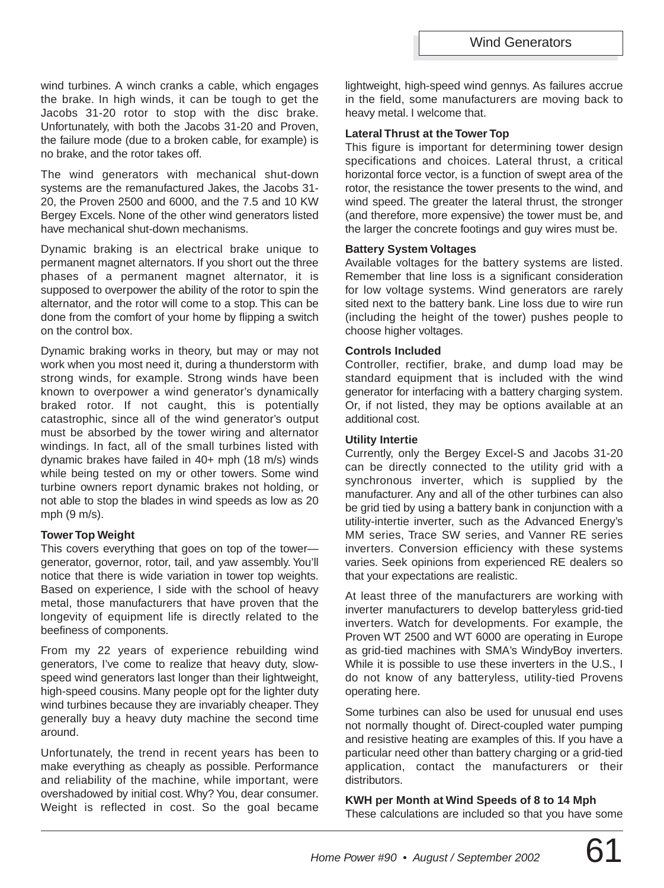wind turbines. A winch cranks a cable, which engages the brake. In high winds, it can be tough to get the Jacobs 31-20 rotor to stop with the disc brake. Unfortunately, with both the Jacobs 31-20 and Proven, the failure mode (due to a broken cable, for example) is no brake, and the rotor takes off.

The wind generators with mechanical shut-down systems are the remanufactured Jakes, the Jacobs 31- 20, the Proven 2500 and 6000, and the 7.5 and 10 KW Bergey Excels. None of the other wind generators listed have mechanical shut-down mechanisms.

Dynamic braking is an electrical brake unique to permanent magnet alternators. If you short out the three phases of a permanent magnet alternator, it is supposed to overpower the ability of the rotor to spin the alternator, and the rotor will come to a stop. This can be done from the comfort of your home by flipping a switch on the control box.

Dynamic braking works in theory, but may or may not work when you most need it, during a thunderstorm with strong winds, for example. Strong winds have been known to overpower a wind generator's dynamically braked rotor. If not caught, this is potentially catastrophic, since all of the wind generator's output must be absorbed by the tower wiring and alternator windings. In fact, all of the small turbines listed with dynamic brakes have failed in 40+ mph (18 m/s) winds while being tested on my or other towers. Some wind turbine owners report dynamic brakes not holding, or not able to stop the blades in wind speeds as low as 20 mph (9 m/s).

#### **Tower Top Weight**

This covers everything that goes on top of the tower generator, governor, rotor, tail, and yaw assembly. You'll notice that there is wide variation in tower top weights. Based on experience, I side with the school of heavy metal, those manufacturers that have proven that the longevity of equipment life is directly related to the beefiness of components.

From my 22 years of experience rebuilding wind generators, I've come to realize that heavy duty, slowspeed wind generators last longer than their lightweight, high-speed cousins. Many people opt for the lighter duty wind turbines because they are invariably cheaper. They generally buy a heavy duty machine the second time around.

Unfortunately, the trend in recent years has been to make everything as cheaply as possible. Performance and reliability of the machine, while important, were overshadowed by initial cost. Why? You, dear consumer. Weight is reflected in cost. So the goal became lightweight, high-speed wind gennys. As failures accrue in the field, some manufacturers are moving back to heavy metal. I welcome that.

#### **Lateral Thrust at the Tower Top**

This figure is important for determining tower design specifications and choices. Lateral thrust, a critical horizontal force vector, is a function of swept area of the rotor, the resistance the tower presents to the wind, and wind speed. The greater the lateral thrust, the stronger (and therefore, more expensive) the tower must be, and the larger the concrete footings and guy wires must be.

#### **Battery System Voltages**

Available voltages for the battery systems are listed. Remember that line loss is a significant consideration for low voltage systems. Wind generators are rarely sited next to the battery bank. Line loss due to wire run (including the height of the tower) pushes people to choose higher voltages.

#### **Controls Included**

Controller, rectifier, brake, and dump load may be standard equipment that is included with the wind generator for interfacing with a battery charging system. Or, if not listed, they may be options available at an additional cost.

#### **Utility Intertie**

Currently, only the Bergey Excel-S and Jacobs 31-20 can be directly connected to the utility grid with a synchronous inverter, which is supplied by the manufacturer. Any and all of the other turbines can also be grid tied by using a battery bank in conjunction with a utility-intertie inverter, such as the Advanced Energy's MM series, Trace SW series, and Vanner RE series inverters. Conversion efficiency with these systems varies. Seek opinions from experienced RE dealers so that your expectations are realistic.

At least three of the manufacturers are working with inverter manufacturers to develop batteryless grid-tied inverters. Watch for developments. For example, the Proven WT 2500 and WT 6000 are operating in Europe as grid-tied machines with SMA's WindyBoy inverters. While it is possible to use these inverters in the U.S., I do not know of any batteryless, utility-tied Provens operating here.

Some turbines can also be used for unusual end uses not normally thought of. Direct-coupled water pumping and resistive heating are examples of this. If you have a particular need other than battery charging or a grid-tied application, contact the manufacturers or their distributors.

**KWH per Month at Wind Speeds of 8 to 14 Mph** These calculations are included so that you have some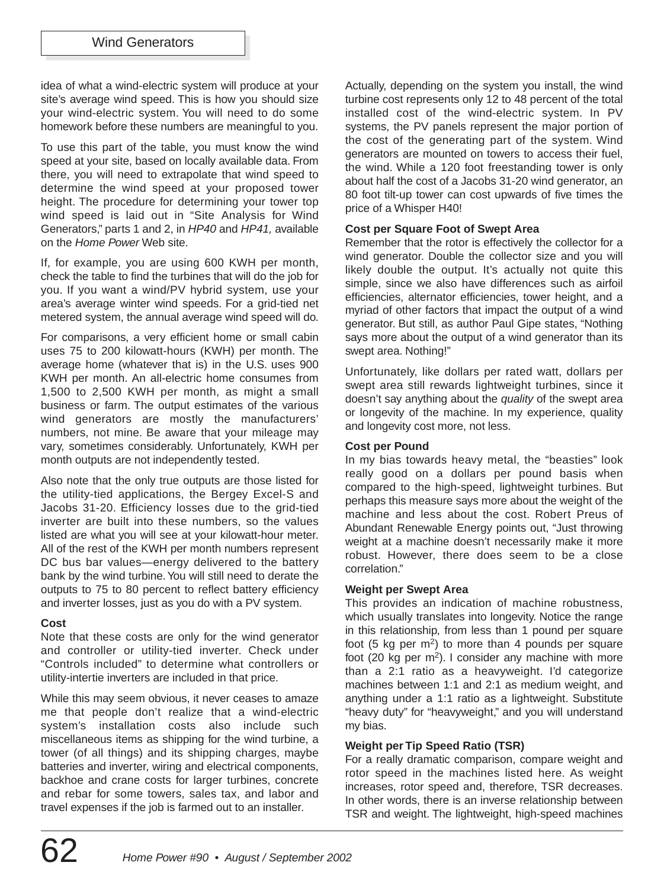idea of what a wind-electric system will produce at your site's average wind speed. This is how you should size your wind-electric system. You will need to do some homework before these numbers are meaningful to you.

To use this part of the table, you must know the wind speed at your site, based on locally available data. From there, you will need to extrapolate that wind speed to determine the wind speed at your proposed tower height. The procedure for determining your tower top wind speed is laid out in "Site Analysis for Wind Generators," parts 1 and 2, in HP40 and HP41, available on the Home Power Web site.

If, for example, you are using 600 KWH per month, check the table to find the turbines that will do the job for you. If you want a wind/PV hybrid system, use your area's average winter wind speeds. For a grid-tied net metered system, the annual average wind speed will do.

For comparisons, a very efficient home or small cabin uses 75 to 200 kilowatt-hours (KWH) per month. The average home (whatever that is) in the U.S. uses 900 KWH per month. An all-electric home consumes from 1,500 to 2,500 KWH per month, as might a small business or farm. The output estimates of the various wind generators are mostly the manufacturers' numbers, not mine. Be aware that your mileage may vary, sometimes considerably. Unfortunately, KWH per month outputs are not independently tested.

Also note that the only true outputs are those listed for the utility-tied applications, the Bergey Excel-S and Jacobs 31-20. Efficiency losses due to the grid-tied inverter are built into these numbers, so the values listed are what you will see at your kilowatt-hour meter. All of the rest of the KWH per month numbers represent DC bus bar values—energy delivered to the battery bank by the wind turbine.You will still need to derate the outputs to 75 to 80 percent to reflect battery efficiency and inverter losses, just as you do with a PV system.

#### **Cost**

Note that these costs are only for the wind generator and controller or utility-tied inverter. Check under "Controls included" to determine what controllers or utility-intertie inverters are included in that price.

While this may seem obvious, it never ceases to amaze me that people don't realize that a wind-electric system's installation costs also include such miscellaneous items as shipping for the wind turbine, a tower (of all things) and its shipping charges, maybe batteries and inverter, wiring and electrical components, backhoe and crane costs for larger turbines, concrete and rebar for some towers, sales tax, and labor and travel expenses if the job is farmed out to an installer.

Actually, depending on the system you install, the wind turbine cost represents only 12 to 48 percent of the total installed cost of the wind-electric system. In PV systems, the PV panels represent the major portion of the cost of the generating part of the system. Wind generators are mounted on towers to access their fuel, the wind. While a 120 foot freestanding tower is only about half the cost of a Jacobs 31-20 wind generator, an 80 foot tilt-up tower can cost upwards of five times the price of a Whisper H40!

#### **Cost per Square Foot of Swept Area**

Remember that the rotor is effectively the collector for a wind generator. Double the collector size and you will likely double the output. It's actually not quite this simple, since we also have differences such as airfoil efficiencies, alternator efficiencies, tower height, and a myriad of other factors that impact the output of a wind generator. But still, as author Paul Gipe states, "Nothing says more about the output of a wind generator than its swept area. Nothing!"

Unfortunately, like dollars per rated watt, dollars per swept area still rewards lightweight turbines, since it doesn't say anything about the quality of the swept area or longevity of the machine. In my experience, quality and longevity cost more, not less.

#### **Cost per Pound**

In my bias towards heavy metal, the "beasties" look really good on a dollars per pound basis when compared to the high-speed, lightweight turbines. But perhaps this measure says more about the weight of the machine and less about the cost. Robert Preus of Abundant Renewable Energy points out, "Just throwing weight at a machine doesn't necessarily make it more robust. However, there does seem to be a close correlation."

#### **Weight per Swept Area**

This provides an indication of machine robustness, which usually translates into longevity. Notice the range in this relationship, from less than 1 pound per square foot (5 kg per  $m<sup>2</sup>$ ) to more than 4 pounds per square foot (20 kg per  $m^2$ ). I consider any machine with more than a 2:1 ratio as a heavyweight. I'd categorize machines between 1:1 and 2:1 as medium weight, and anything under a 1:1 ratio as a lightweight. Substitute "heavy duty" for "heavyweight," and you will understand my bias.

#### **Weight per Tip Speed Ratio (TSR)**

For a really dramatic comparison, compare weight and rotor speed in the machines listed here. As weight increases, rotor speed and, therefore, TSR decreases. In other words, there is an inverse relationship between TSR and weight. The lightweight, high-speed machines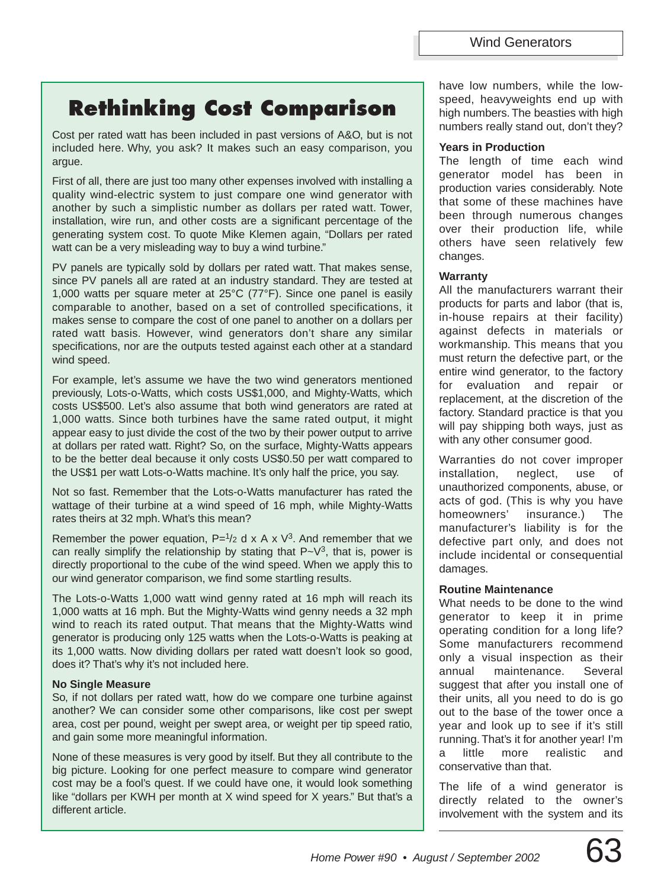# **Rethinking Cost Comparison**

Cost per rated watt has been included in past versions of A&O, but is not included here. Why, you ask? It makes such an easy comparison, you argue.

First of all, there are just too many other expenses involved with installing a quality wind-electric system to just compare one wind generator with another by such a simplistic number as dollars per rated watt. Tower, installation, wire run, and other costs are a significant percentage of the generating system cost. To quote Mike Klemen again, "Dollars per rated watt can be a very misleading way to buy a wind turbine."

PV panels are typically sold by dollars per rated watt. That makes sense, since PV panels all are rated at an industry standard. They are tested at 1,000 watts per square meter at 25°C (77°F). Since one panel is easily comparable to another, based on a set of controlled specifications, it makes sense to compare the cost of one panel to another on a dollars per rated watt basis. However, wind generators don't share any similar specifications, nor are the outputs tested against each other at a standard wind speed.

For example, let's assume we have the two wind generators mentioned previously, Lots-o-Watts, which costs US\$1,000, and Mighty-Watts, which costs US\$500. Let's also assume that both wind generators are rated at 1,000 watts. Since both turbines have the same rated output, it might appear easy to just divide the cost of the two by their power output to arrive at dollars per rated watt. Right? So, on the surface, Mighty-Watts appears to be the better deal because it only costs US\$0.50 per watt compared to the US\$1 per watt Lots-o-Watts machine. It's only half the price, you say.

Not so fast. Remember that the Lots-o-Watts manufacturer has rated the wattage of their turbine at a wind speed of 16 mph, while Mighty-Watts rates theirs at 32 mph. What's this mean?

Remember the power equation,  $P=1/2$  d x A x V<sup>3</sup>. And remember that we can really simplify the relationship by stating that  $P-V^3$ , that is, power is directly proportional to the cube of the wind speed. When we apply this to our wind generator comparison, we find some startling results.

The Lots-o-Watts 1,000 watt wind genny rated at 16 mph will reach its 1,000 watts at 16 mph. But the Mighty-Watts wind genny needs a 32 mph wind to reach its rated output. That means that the Mighty-Watts wind generator is producing only 125 watts when the Lots-o-Watts is peaking at its 1,000 watts. Now dividing dollars per rated watt doesn't look so good, does it? That's why it's not included here.

#### **No Single Measure**

So, if not dollars per rated watt, how do we compare one turbine against another? We can consider some other comparisons, like cost per swept area, cost per pound, weight per swept area, or weight per tip speed ratio, and gain some more meaningful information.

None of these measures is very good by itself. But they all contribute to the big picture. Looking for one perfect measure to compare wind generator cost may be a fool's quest. If we could have one, it would look something like "dollars per KWH per month at X wind speed for X years." But that's a different article.

have low numbers, while the lowspeed, heavyweights end up with high numbers. The beasties with high numbers really stand out, don't they?

## **Years in Production**

The length of time each wind generator model has been in production varies considerably. Note that some of these machines have been through numerous changes over their production life, while others have seen relatively few changes.

# **Warranty**

All the manufacturers warrant their products for parts and labor (that is, in-house repairs at their facility) against defects in materials or workmanship. This means that you must return the defective part, or the entire wind generator, to the factory for evaluation and repair or replacement, at the discretion of the factory. Standard practice is that you will pay shipping both ways, just as with any other consumer good.

Warranties do not cover improper installation, neglect, use of unauthorized components, abuse, or acts of god. (This is why you have homeowners' insurance.) The manufacturer's liability is for the defective part only, and does not include incidental or consequential damages.

## **Routine Maintenance**

What needs to be done to the wind generator to keep it in prime operating condition for a long life? Some manufacturers recommend only a visual inspection as their annual maintenance. Several suggest that after you install one of their units, all you need to do is go out to the base of the tower once a year and look up to see if it's still running. That's it for another year! I'm a little more realistic and conservative than that.

The life of a wind generator is directly related to the owner's involvement with the system and its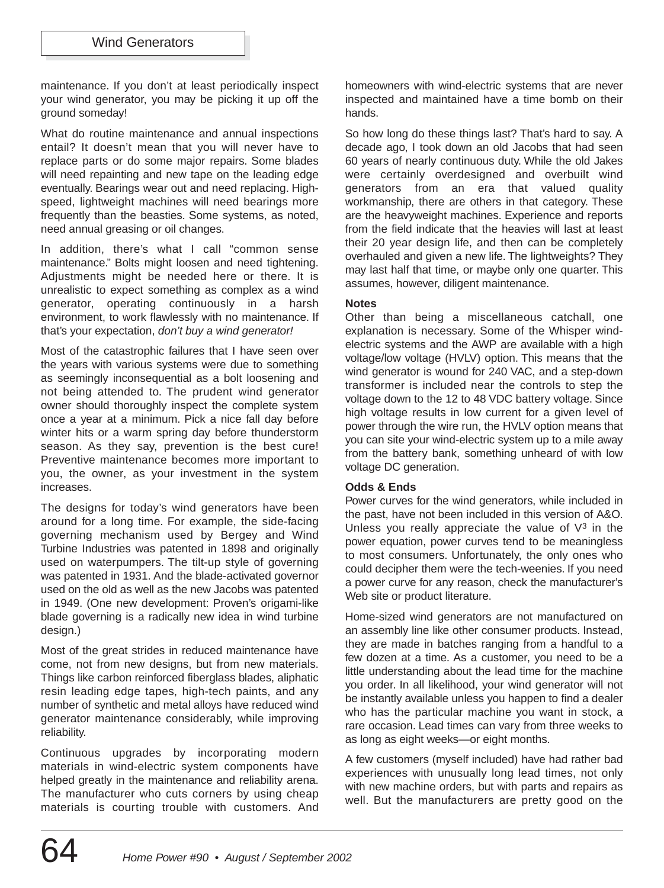maintenance. If you don't at least periodically inspect your wind generator, you may be picking it up off the ground someday!

What do routine maintenance and annual inspections entail? It doesn't mean that you will never have to replace parts or do some major repairs. Some blades will need repainting and new tape on the leading edge eventually. Bearings wear out and need replacing. Highspeed, lightweight machines will need bearings more frequently than the beasties. Some systems, as noted, need annual greasing or oil changes.

In addition, there's what I call "common sense maintenance." Bolts might loosen and need tightening. Adjustments might be needed here or there. It is unrealistic to expect something as complex as a wind generator, operating continuously in a harsh environment, to work flawlessly with no maintenance. If that's your expectation, don't buy a wind generator!

Most of the catastrophic failures that I have seen over the years with various systems were due to something as seemingly inconsequential as a bolt loosening and not being attended to. The prudent wind generator owner should thoroughly inspect the complete system once a year at a minimum. Pick a nice fall day before winter hits or a warm spring day before thunderstorm season. As they say, prevention is the best cure! Preventive maintenance becomes more important to you, the owner, as your investment in the system increases.

The designs for today's wind generators have been around for a long time. For example, the side-facing governing mechanism used by Bergey and Wind Turbine Industries was patented in 1898 and originally used on waterpumpers. The tilt-up style of governing was patented in 1931. And the blade-activated governor used on the old as well as the new Jacobs was patented in 1949. (One new development: Proven's origami-like blade governing is a radically new idea in wind turbine design.)

Most of the great strides in reduced maintenance have come, not from new designs, but from new materials. Things like carbon reinforced fiberglass blades, aliphatic resin leading edge tapes, high-tech paints, and any number of synthetic and metal alloys have reduced wind generator maintenance considerably, while improving reliability.

Continuous upgrades by incorporating modern materials in wind-electric system components have helped greatly in the maintenance and reliability arena. The manufacturer who cuts corners by using cheap materials is courting trouble with customers. And homeowners with wind-electric systems that are never inspected and maintained have a time bomb on their hands.

So how long do these things last? That's hard to say. A decade ago, I took down an old Jacobs that had seen 60 years of nearly continuous duty. While the old Jakes were certainly overdesigned and overbuilt wind generators from an era that valued quality workmanship, there are others in that category. These are the heavyweight machines. Experience and reports from the field indicate that the heavies will last at least their 20 year design life, and then can be completely overhauled and given a new life. The lightweights? They may last half that time, or maybe only one quarter. This assumes, however, diligent maintenance.

#### **Notes**

Other than being a miscellaneous catchall, one explanation is necessary. Some of the Whisper windelectric systems and the AWP are available with a high voltage/low voltage (HVLV) option. This means that the wind generator is wound for 240 VAC, and a step-down transformer is included near the controls to step the voltage down to the 12 to 48 VDC battery voltage. Since high voltage results in low current for a given level of power through the wire run, the HVLV option means that you can site your wind-electric system up to a mile away from the battery bank, something unheard of with low voltage DC generation.

#### **Odds & Ends**

Power curves for the wind generators, while included in the past, have not been included in this version of A&O. Unless you really appreciate the value of  $V^3$  in the power equation, power curves tend to be meaningless to most consumers. Unfortunately, the only ones who could decipher them were the tech-weenies. If you need a power curve for any reason, check the manufacturer's Web site or product literature.

Home-sized wind generators are not manufactured on an assembly line like other consumer products. Instead, they are made in batches ranging from a handful to a few dozen at a time. As a customer, you need to be a little understanding about the lead time for the machine you order. In all likelihood, your wind generator will not be instantly available unless you happen to find a dealer who has the particular machine you want in stock, a rare occasion. Lead times can vary from three weeks to as long as eight weeks—or eight months.

A few customers (myself included) have had rather bad experiences with unusually long lead times, not only with new machine orders, but with parts and repairs as well. But the manufacturers are pretty good on the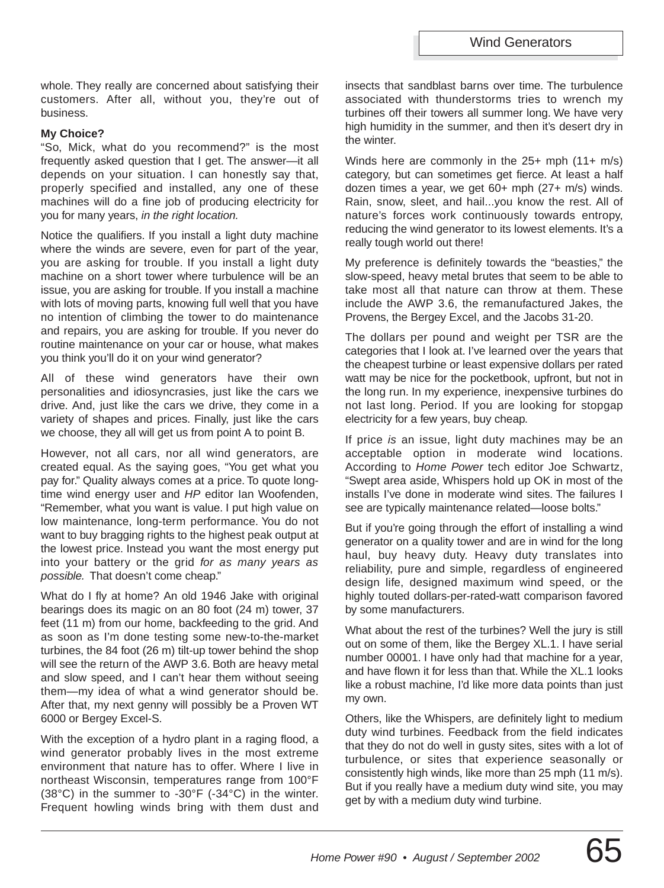whole. They really are concerned about satisfying their customers. After all, without you, they're out of business.

#### **My Choice?**

"So, Mick, what do you recommend?" is the most frequently asked question that I get. The answer—it all depends on your situation. I can honestly say that, properly specified and installed, any one of these machines will do a fine job of producing electricity for you for many years, in the right location.

Notice the qualifiers. If you install a light duty machine where the winds are severe, even for part of the year, you are asking for trouble. If you install a light duty machine on a short tower where turbulence will be an issue, you are asking for trouble. If you install a machine with lots of moving parts, knowing full well that you have no intention of climbing the tower to do maintenance and repairs, you are asking for trouble. If you never do routine maintenance on your car or house, what makes you think you'll do it on your wind generator?

All of these wind generators have their own personalities and idiosyncrasies, just like the cars we drive. And, just like the cars we drive, they come in a variety of shapes and prices. Finally, just like the cars we choose, they all will get us from point A to point B.

However, not all cars, nor all wind generators, are created equal. As the saying goes, "You get what you pay for." Quality always comes at a price. To quote longtime wind energy user and HP editor Ian Woofenden, "Remember, what you want is value. I put high value on low maintenance, long-term performance. You do not want to buy bragging rights to the highest peak output at the lowest price. Instead you want the most energy put into your battery or the grid for as many years as possible. That doesn't come cheap."

What do I fly at home? An old 1946 Jake with original bearings does its magic on an 80 foot (24 m) tower, 37 feet (11 m) from our home, backfeeding to the grid. And as soon as I'm done testing some new-to-the-market turbines, the 84 foot (26 m) tilt-up tower behind the shop will see the return of the AWP 3.6. Both are heavy metal and slow speed, and I can't hear them without seeing them—my idea of what a wind generator should be. After that, my next genny will possibly be a Proven WT 6000 or Bergey Excel-S.

With the exception of a hydro plant in a raging flood, a wind generator probably lives in the most extreme environment that nature has to offer. Where I live in northeast Wisconsin, temperatures range from 100°F (38°C) in the summer to -30°F (-34°C) in the winter. Frequent howling winds bring with them dust and insects that sandblast barns over time. The turbulence associated with thunderstorms tries to wrench my turbines off their towers all summer long. We have very high humidity in the summer, and then it's desert dry in the winter.

Winds here are commonly in the 25+ mph (11+ m/s) category, but can sometimes get fierce. At least a half dozen times a year, we get 60+ mph (27+ m/s) winds. Rain, snow, sleet, and hail...you know the rest. All of nature's forces work continuously towards entropy, reducing the wind generator to its lowest elements. It's a really tough world out there!

My preference is definitely towards the "beasties," the slow-speed, heavy metal brutes that seem to be able to take most all that nature can throw at them. These include the AWP 3.6, the remanufactured Jakes, the Provens, the Bergey Excel, and the Jacobs 31-20.

The dollars per pound and weight per TSR are the categories that I look at. I've learned over the years that the cheapest turbine or least expensive dollars per rated watt may be nice for the pocketbook, upfront, but not in the long run. In my experience, inexpensive turbines do not last long. Period. If you are looking for stopgap electricity for a few years, buy cheap.

If price is an issue, light duty machines may be an acceptable option in moderate wind locations. According to Home Power tech editor Joe Schwartz, "Swept area aside, Whispers hold up OK in most of the installs I've done in moderate wind sites. The failures I see are typically maintenance related—loose bolts."

But if you're going through the effort of installing a wind generator on a quality tower and are in wind for the long haul, buy heavy duty. Heavy duty translates into reliability, pure and simple, regardless of engineered design life, designed maximum wind speed, or the highly touted dollars-per-rated-watt comparison favored by some manufacturers.

What about the rest of the turbines? Well the jury is still out on some of them, like the Bergey XL.1. I have serial number 00001. I have only had that machine for a year, and have flown it for less than that. While the XL.1 looks like a robust machine, I'd like more data points than just my own.

Others, like the Whispers, are definitely light to medium duty wind turbines. Feedback from the field indicates that they do not do well in gusty sites, sites with a lot of turbulence, or sites that experience seasonally or consistently high winds, like more than 25 mph (11 m/s). But if you really have a medium duty wind site, you may get by with a medium duty wind turbine.